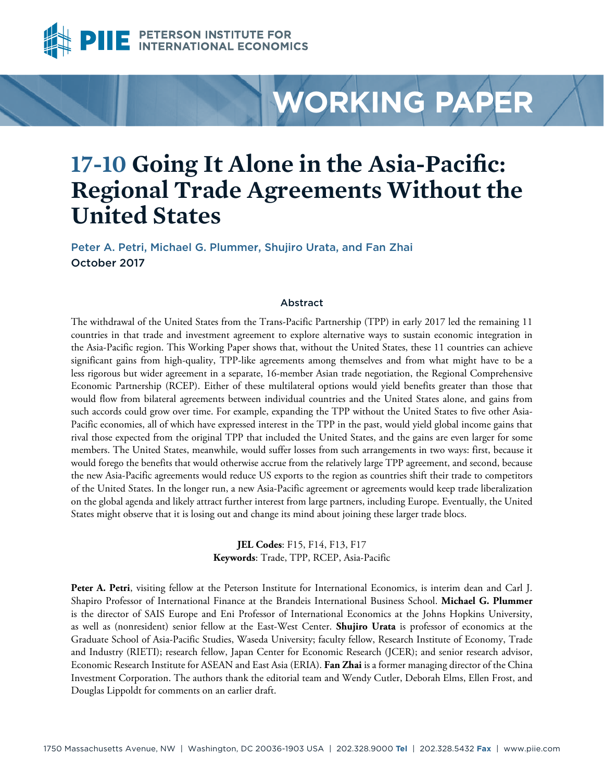

## **WORKING PAPER**

### **17-10 Going It Alone in the Asia-Pacific: Regional Trade Agreements Without the United States**

Peter A. Petri, Michael G. Plummer, Shujiro Urata, and Fan Zhai October 2017

#### Abstract

The withdrawal of the United States from the Trans-Pacific Partnership (TPP) in early 2017 led the remaining 11 countries in that trade and investment agreement to explore alternative ways to sustain economic integration in the Asia-Pacific region. This Working Paper shows that, without the United States, these 11 countries can achieve significant gains from high-quality, TPP-like agreements among themselves and from what might have to be a less rigorous but wider agreement in a separate, 16-member Asian trade negotiation, the Regional Comprehensive Economic Partnership (RCEP). Either of these multilateral options would yield benefits greater than those that would flow from bilateral agreements between individual countries and the United States alone, and gains from such accords could grow over time. For example, expanding the TPP without the United States to five other Asia-Pacific economies, all of which have expressed interest in the TPP in the past, would yield global income gains that rival those expected from the original TPP that included the United States, and the gains are even larger for some members. The United States, meanwhile, would suffer losses from such arrangements in two ways: first, because it would forego the benefits that would otherwise accrue from the relatively large TPP agreement, and second, because the new Asia-Pacific agreements would reduce US exports to the region as countries shift their trade to competitors of the United States. In the longer run, a new Asia-Pacific agreement or agreements would keep trade liberalization on the global agenda and likely attract further interest from large partners, including Europe. Eventually, the United States might observe that it is losing out and change its mind about joining these larger trade blocs.

> **JEL Codes**: F15, F14, F13, F17 **Keywords**: Trade, TPP, RCEP, Asia-Pacific

**Peter A. Petri**, visiting fellow at the Peterson Institute for International Economics, is interim dean and Carl J. Shapiro Professor of International Finance at the Brandeis International Business School. **Michael G. Plummer** is the director of SAIS Europe and Eni Professor of International Economics at the Johns Hopkins University, as well as (nonresident) senior fellow at the East-West Center. **Shujiro Urata** is professor of economics at the Graduate School of Asia-Pacific Studies, Waseda University; faculty fellow, Research Institute of Economy, Trade and Industry (RIETI); research fellow, Japan Center for Economic Research (JCER); and senior research advisor, Economic Research Institute for ASEAN and East Asia (ERIA). **Fan Zhai** is a former managing director of the China Investment Corporation. The authors thank the editorial team and Wendy Cutler, Deborah Elms, Ellen Frost, and Douglas Lippoldt for comments on an earlier draft.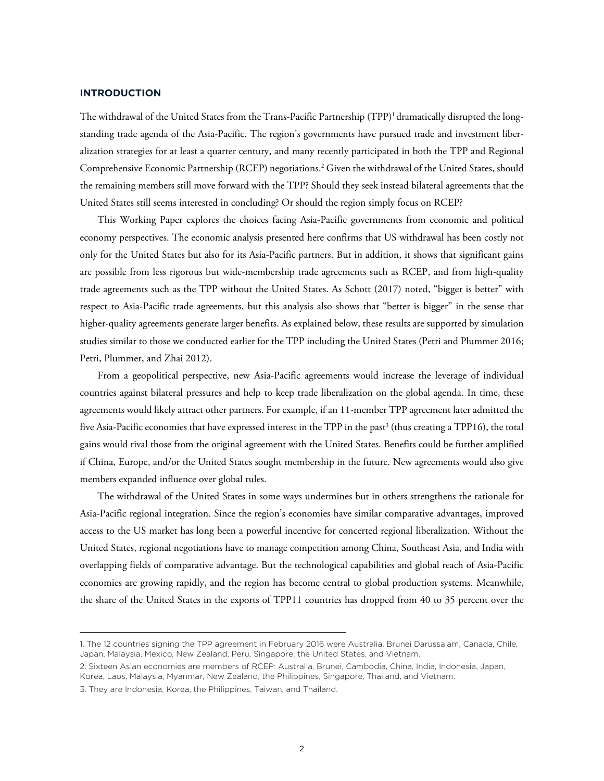#### **INTRODUCTION**

The withdrawal of the United States from the Trans-Pacific Partnership (TPP)<sup>1</sup> dramatically disrupted the longstanding trade agenda of the Asia-Pacific. The region's governments have pursued trade and investment liberalization strategies for at least a quarter century, and many recently participated in both the TPP and Regional Comprehensive Economic Partnership (RCEP) negotiations.2 Given the withdrawal of the United States, should the remaining members still move forward with the TPP? Should they seek instead bilateral agreements that the United States still seems interested in concluding? Or should the region simply focus on RCEP?

This Working Paper explores the choices facing Asia-Pacific governments from economic and political economy perspectives. The economic analysis presented here confirms that US withdrawal has been costly not only for the United States but also for its Asia-Pacific partners. But in addition, it shows that significant gains are possible from less rigorous but wide-membership trade agreements such as RCEP, and from high-quality trade agreements such as the TPP without the United States. As Schott (2017) noted, "bigger is better" with respect to Asia-Pacific trade agreements, but this analysis also shows that "better is bigger" in the sense that higher-quality agreements generate larger benefits. As explained below, these results are supported by simulation studies similar to those we conducted earlier for the TPP including the United States (Petri and Plummer 2016; Petri, Plummer, and Zhai 2012).

From a geopolitical perspective, new Asia-Pacific agreements would increase the leverage of individual countries against bilateral pressures and help to keep trade liberalization on the global agenda. In time, these agreements would likely attract other partners. For example, if an 11-member TPP agreement later admitted the five Asia-Pacific economies that have expressed interest in the TPP in the past<sup>3</sup> (thus creating a TPP16), the total gains would rival those from the original agreement with the United States. Benefits could be further amplified if China, Europe, and/or the United States sought membership in the future. New agreements would also give members expanded influence over global rules.

The withdrawal of the United States in some ways undermines but in others strengthens the rationale for Asia-Pacific regional integration. Since the region's economies have similar comparative advantages, improved access to the US market has long been a powerful incentive for concerted regional liberalization. Without the United States, regional negotiations have to manage competition among China, Southeast Asia, and India with overlapping fields of comparative advantage. But the technological capabilities and global reach of Asia-Pacific economies are growing rapidly, and the region has become central to global production systems. Meanwhile, the share of the United States in the exports of TPP11 countries has dropped from 40 to 35 percent over the

<sup>1.</sup> The 12 countries signing the TPP agreement in February 2016 were Australia, Brunei Darussalam, Canada, Chile, Japan, Malaysia, Mexico, New Zealand, Peru, Singapore, the United States, and Vietnam.

<sup>2.</sup> Sixteen Asian economies are members of RCEP: Australia, Brunei, Cambodia, China, India, Indonesia, Japan, Korea, Laos, Malaysia, Myanmar, New Zealand, the Philippines, Singapore, Thailand, and Vietnam.

<sup>3.</sup> They are Indonesia, Korea, the Philippines, Taiwan, and Thailand.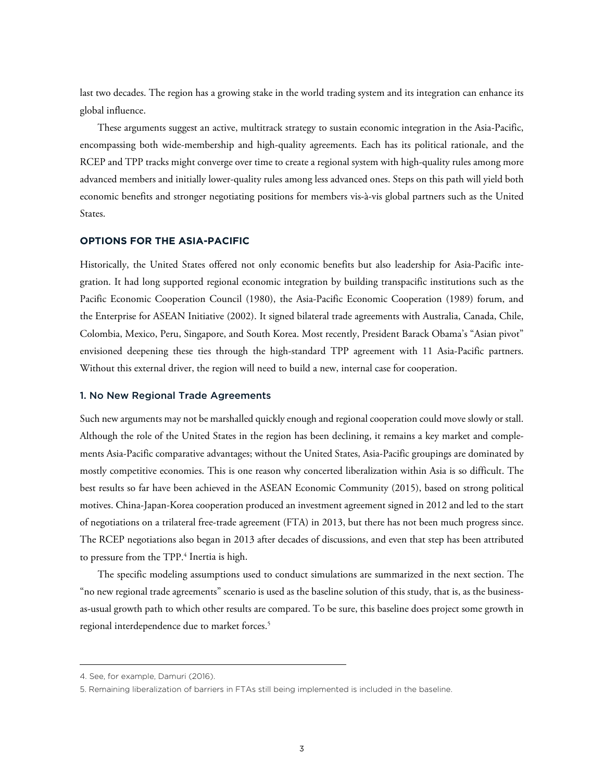last two decades. The region has a growing stake in the world trading system and its integration can enhance its global influence.

These arguments suggest an active, multitrack strategy to sustain economic integration in the Asia-Pacific, encompassing both wide-membership and high-quality agreements. Each has its political rationale, and the RCEP and TPP tracks might converge over time to create a regional system with high-quality rules among more advanced members and initially lower-quality rules among less advanced ones. Steps on this path will yield both economic benefits and stronger negotiating positions for members vis-à-vis global partners such as the United States.

#### **OPTIONS FOR THE ASIA-PACIFIC**

Historically, the United States offered not only economic benefits but also leadership for Asia-Pacific integration. It had long supported regional economic integration by building transpacific institutions such as the Pacific Economic Cooperation Council (1980), the Asia-Pacific Economic Cooperation (1989) forum, and the Enterprise for ASEAN Initiative (2002). It signed bilateral trade agreements with Australia, Canada, Chile, Colombia, Mexico, Peru, Singapore, and South Korea. Most recently, President Barack Obama's "Asian pivot" envisioned deepening these ties through the high-standard TPP agreement with 11 Asia-Pacific partners. Without this external driver, the region will need to build a new, internal case for cooperation.

#### 1. No New Regional Trade Agreements

Such new arguments may not be marshalled quickly enough and regional cooperation could move slowly or stall. Although the role of the United States in the region has been declining, it remains a key market and complements Asia-Pacific comparative advantages; without the United States, Asia-Pacific groupings are dominated by mostly competitive economies. This is one reason why concerted liberalization within Asia is so difficult. The best results so far have been achieved in the ASEAN Economic Community (2015), based on strong political motives. China-Japan-Korea cooperation produced an investment agreement signed in 2012 and led to the start of negotiations on a trilateral free-trade agreement (FTA) in 2013, but there has not been much progress since. The RCEP negotiations also began in 2013 after decades of discussions, and even that step has been attributed to pressure from the TPP.<sup>4</sup> Inertia is high.

The specific modeling assumptions used to conduct simulations are summarized in the next section. The "no new regional trade agreements" scenario is used as the baseline solution of this study, that is, as the businessas-usual growth path to which other results are compared. To be sure, this baseline does project some growth in regional interdependence due to market forces.<sup>5</sup>

<sup>4.</sup> See, for example, Damuri (2016).

<sup>5.</sup> Remaining liberalization of barriers in FTAs still being implemented is included in the baseline.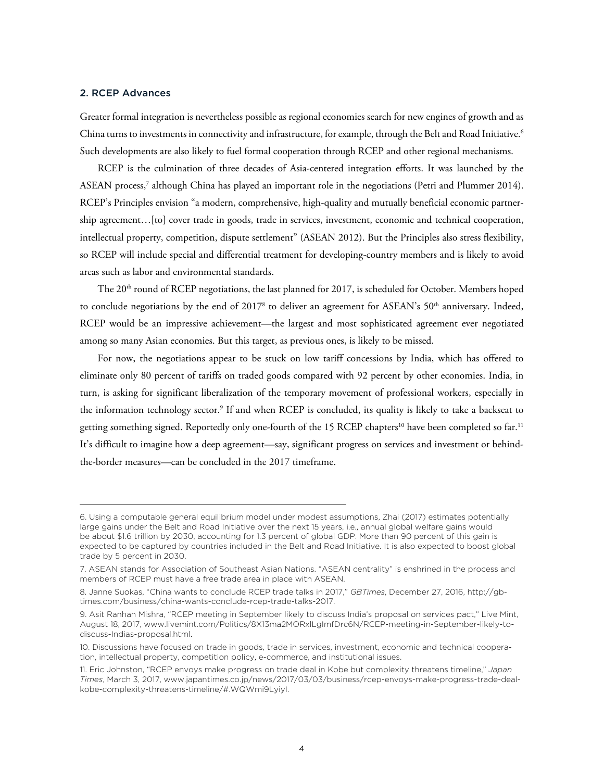#### 2. RCEP Advances

Greater formal integration is nevertheless possible as regional economies search for new engines of growth and as China turns to investments in connectivity and infrastructure, for example, through the Belt and Road Initiative.6 Such developments are also likely to fuel formal cooperation through RCEP and other regional mechanisms.

RCEP is the culmination of three decades of Asia-centered integration efforts. It was launched by the ASEAN process,<sup>7</sup> although China has played an important role in the negotiations (Petri and Plummer 2014). RCEP's Principles envision "a modern, comprehensive, high-quality and mutually beneficial economic partnership agreement…[to] cover trade in goods, trade in services, investment, economic and technical cooperation, intellectual property, competition, dispute settlement" (ASEAN 2012). But the Principles also stress flexibility, so RCEP will include special and differential treatment for developing-country members and is likely to avoid areas such as labor and environmental standards.

The 20<sup>th</sup> round of RCEP negotiations, the last planned for 2017, is scheduled for October. Members hoped to conclude negotiations by the end of 2017<sup>8</sup> to deliver an agreement for ASEAN's 50<sup>th</sup> anniversary. Indeed, RCEP would be an impressive achievement—the largest and most sophisticated agreement ever negotiated among so many Asian economies. But this target, as previous ones, is likely to be missed.

For now, the negotiations appear to be stuck on low tariff concessions by India, which has offered to eliminate only 80 percent of tariffs on traded goods compared with 92 percent by other economies. India, in turn, is asking for significant liberalization of the temporary movement of professional workers, especially in the information technology sector.<sup>9</sup> If and when RCEP is concluded, its quality is likely to take a backseat to getting something signed. Reportedly only one-fourth of the 15 RCEP chapters<sup>10</sup> have been completed so far.<sup>11</sup> It's difficult to imagine how a deep agreement—say, significant progress on services and investment or behindthe-border measures—can be concluded in the 2017 timeframe.

<sup>6.</sup> Using a computable general equilibrium model under modest assumptions, Zhai (2017) estimates potentially large gains under the Belt and Road Initiative over the next 15 years, i.e., annual global welfare gains would be about \$1.6 trillion by 2030, accounting for 1.3 percent of global GDP. More than 90 percent of this gain is expected to be captured by countries included in the Belt and Road Initiative. It is also expected to boost global trade by 5 percent in 2030.

<sup>7.</sup> ASEAN stands for Association of Southeast Asian Nations. "ASEAN centrality" is enshrined in the process and members of RCEP must have a free trade area in place with ASEAN.

<sup>8.</sup> Janne Suokas, "China wants to conclude RCEP trade talks in 2017," *GBTimes*, December 27, 2016, http://gbtimes.com/business/china-wants-conclude-rcep-trade-talks-2017.

<sup>9.</sup> Asit Ranhan Mishra, "RCEP meeting in September likely to discuss India's proposal on services pact," Live Mint, August 18, 2017, www.livemint.com/Politics/8X13ma2MORxlLgImfDrc6N/RCEP-meeting-in-September-likely-todiscuss-Indias-proposal.html.

<sup>10.</sup> Discussions have focused on trade in goods, trade in services, investment, economic and technical cooperation, intellectual property, competition policy, e-commerce, and institutional issues.

<sup>11.</sup> Eric Johnston, "RCEP envoys make progress on trade deal in Kobe but complexity threatens timeline," *Japan Times*, March 3, 2017, www.japantimes.co.jp/news/2017/03/03/business/rcep-envoys-make-progress-trade-dealkobe-complexity-threatens-timeline/#.WQWmi9LyiyI.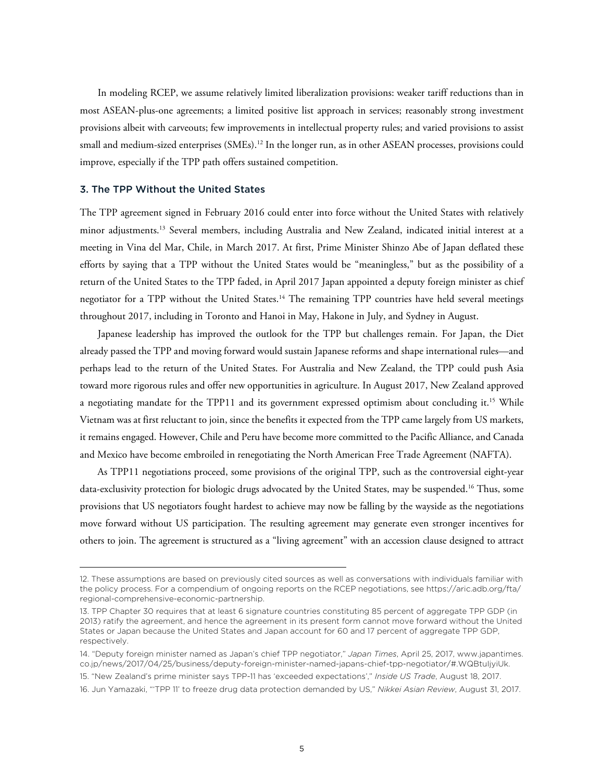In modeling RCEP, we assume relatively limited liberalization provisions: weaker tariff reductions than in most ASEAN-plus-one agreements; a limited positive list approach in services; reasonably strong investment provisions albeit with carveouts; few improvements in intellectual property rules; and varied provisions to assist small and medium-sized enterprises (SMEs).<sup>12</sup> In the longer run, as in other ASEAN processes, provisions could improve, especially if the TPP path offers sustained competition.

#### 3. The TPP Without the United States

The TPP agreement signed in February 2016 could enter into force without the United States with relatively minor adjustments.13 Several members, including Australia and New Zealand, indicated initial interest at a meeting in Vina del Mar, Chile, in March 2017. At first, Prime Minister Shinzo Abe of Japan deflated these efforts by saying that a TPP without the United States would be "meaningless," but as the possibility of a return of the United States to the TPP faded, in April 2017 Japan appointed a deputy foreign minister as chief negotiator for a TPP without the United States.<sup>14</sup> The remaining TPP countries have held several meetings throughout 2017, including in Toronto and Hanoi in May, Hakone in July, and Sydney in August.

Japanese leadership has improved the outlook for the TPP but challenges remain. For Japan, the Diet already passed the TPP and moving forward would sustain Japanese reforms and shape international rules—and perhaps lead to the return of the United States. For Australia and New Zealand, the TPP could push Asia toward more rigorous rules and offer new opportunities in agriculture. In August 2017, New Zealand approved a negotiating mandate for the TPP11 and its government expressed optimism about concluding it.<sup>15</sup> While Vietnam was at first reluctant to join, since the benefits it expected from the TPP came largely from US markets, it remains engaged. However, Chile and Peru have become more committed to the Pacific Alliance, and Canada and Mexico have become embroiled in renegotiating the North American Free Trade Agreement (NAFTA).

As TPP11 negotiations proceed, some provisions of the original TPP, such as the controversial eight-year data-exclusivity protection for biologic drugs advocated by the United States, may be suspended.16 Thus, some provisions that US negotiators fought hardest to achieve may now be falling by the wayside as the negotiations move forward without US participation. The resulting agreement may generate even stronger incentives for others to join. The agreement is structured as a "living agreement" with an accession clause designed to attract

<sup>12.</sup> These assumptions are based on previously cited sources as well as conversations with individuals familiar with [the policy process. For a compendium of ongoing reports on the RCEP negotiations, see https://aric.adb.org/fta/](https://aric.adb.org/fta/regional-comprehensive-economic-partnership) regional-comprehensive-economic-partnership.

<sup>13.</sup> TPP Chapter 30 requires that at least 6 signature countries constituting 85 percent of aggregate TPP GDP (in 2013) ratify the agreement, and hence the agreement in its present form cannot move forward without the United States or Japan because the United States and Japan account for 60 and 17 percent of aggregate TPP GDP, respectively.

<sup>14. &</sup>quot;Deputy foreign minister named as Japan's chief TPP negotiator," *Japan Times*, April 25, 2017, www.japantimes. [co.jp/news/2017/04/25/business/deputy-foreign-minister-named-japans-chief-tpp-negotiator/#.WQBtuIjyiUk.](www.japantimes.co.jp/news/2017/04/25/business/deputy-foreign-minister-named-japans-chief-tpp-negotiator/#.WQBtuIjyiUk)

<sup>15. &</sup>quot;New Zealand's prime minister says TPP-11 has 'exceeded expectations'," *Inside US Trade*, August 18, 2017.

<sup>16.</sup> Jun Yamazaki, "'TPP 11' to freeze drug data protection demanded by US," *Nikkei Asian Review*, August 31, 2017.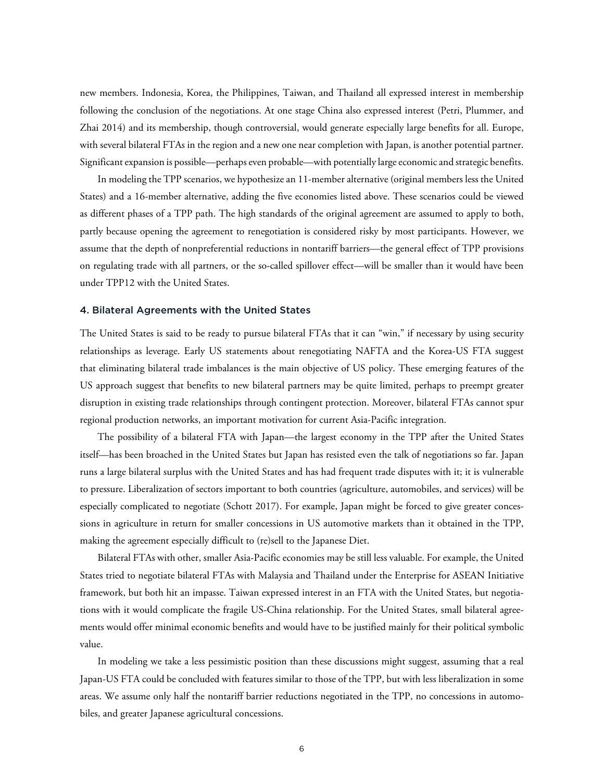new members. Indonesia, Korea, the Philippines, Taiwan, and Thailand all expressed interest in membership following the conclusion of the negotiations. At one stage China also expressed interest (Petri, Plummer, and Zhai 2014) and its membership, though controversial, would generate especially large benefits for all. Europe, with several bilateral FTAs in the region and a new one near completion with Japan, is another potential partner. Significant expansion is possible—perhaps even probable—with potentially large economic and strategic benefits.

In modeling the TPP scenarios, we hypothesize an 11-member alternative (original members less the United States) and a 16-member alternative, adding the five economies listed above. These scenarios could be viewed as different phases of a TPP path. The high standards of the original agreement are assumed to apply to both, partly because opening the agreement to renegotiation is considered risky by most participants. However, we assume that the depth of nonpreferential reductions in nontariff barriers—the general effect of TPP provisions on regulating trade with all partners, or the so-called spillover effect—will be smaller than it would have been under TPP12 with the United States.

#### 4. Bilateral Agreements with the United States

The United States is said to be ready to pursue bilateral FTAs that it can "win," if necessary by using security relationships as leverage. Early US statements about renegotiating NAFTA and the Korea-US FTA suggest that eliminating bilateral trade imbalances is the main objective of US policy. These emerging features of the US approach suggest that benefits to new bilateral partners may be quite limited, perhaps to preempt greater disruption in existing trade relationships through contingent protection. Moreover, bilateral FTAs cannot spur regional production networks, an important motivation for current Asia-Pacific integration.

The possibility of a bilateral FTA with Japan—the largest economy in the TPP after the United States itself—has been broached in the United States but Japan has resisted even the talk of negotiations so far. Japan runs a large bilateral surplus with the United States and has had frequent trade disputes with it; it is vulnerable to pressure. Liberalization of sectors important to both countries (agriculture, automobiles, and services) will be especially complicated to negotiate (Schott 2017). For example, Japan might be forced to give greater concessions in agriculture in return for smaller concessions in US automotive markets than it obtained in the TPP, making the agreement especially difficult to (re)sell to the Japanese Diet.

Bilateral FTAs with other, smaller Asia-Pacific economies may be still less valuable. For example, the United States tried to negotiate bilateral FTAs with Malaysia and Thailand under the Enterprise for ASEAN Initiative framework, but both hit an impasse. Taiwan expressed interest in an FTA with the United States, but negotiations with it would complicate the fragile US-China relationship. For the United States, small bilateral agreements would offer minimal economic benefits and would have to be justified mainly for their political symbolic value.

In modeling we take a less pessimistic position than these discussions might suggest, assuming that a real Japan-US FTA could be concluded with features similar to those of the TPP, but with less liberalization in some areas. We assume only half the nontariff barrier reductions negotiated in the TPP, no concessions in automobiles, and greater Japanese agricultural concessions.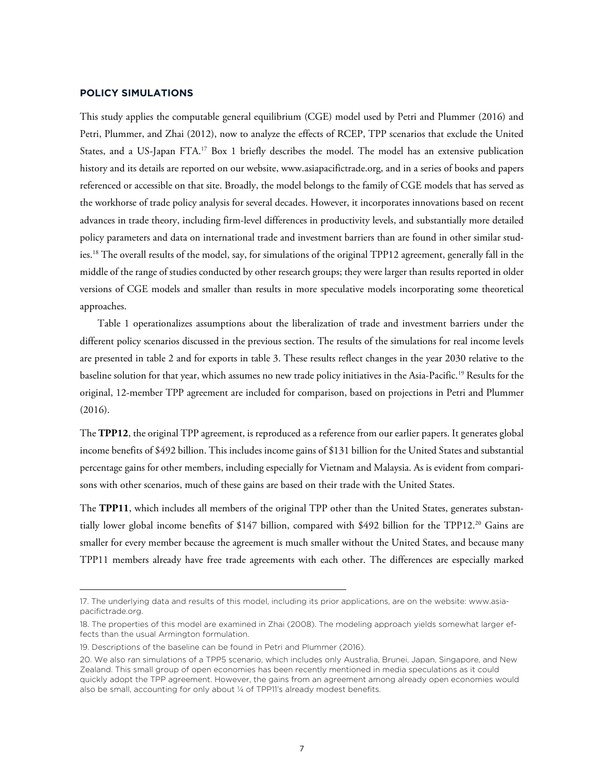#### **POLICY SIMULATIONS**

This study applies the computable general equilibrium (CGE) model used by Petri and Plummer (2016) and Petri, Plummer, and Zhai (2012), now to analyze the effects of RCEP, TPP scenarios that exclude the United States, and a US-Japan FTA.17 Box 1 briefly describes the model. The model has an extensive publication history and its details are reported on our website, www.asiapacifictrade.org, and in a series of books and papers referenced or accessible on that site. Broadly, the model belongs to the family of CGE models that has served as the workhorse of trade policy analysis for several decades. However, it incorporates innovations based on recent advances in trade theory, including firm-level differences in productivity levels, and substantially more detailed policy parameters and data on international trade and investment barriers than are found in other similar studies.<sup>18</sup> The overall results of the model, say, for simulations of the original TPP12 agreement, generally fall in the middle of the range of studies conducted by other research groups; they were larger than results reported in older versions of CGE models and smaller than results in more speculative models incorporating some theoretical approaches.

Table 1 operationalizes assumptions about the liberalization of trade and investment barriers under the different policy scenarios discussed in the previous section. The results of the simulations for real income levels are presented in table 2 and for exports in table 3. These results reflect changes in the year 2030 relative to the baseline solution for that year, which assumes no new trade policy initiatives in the Asia-Pacific.19 Results for the original, 12-member TPP agreement are included for comparison, based on projections in Petri and Plummer (2016).

The **TPP12**, the original TPP agreement, is reproduced as a reference from our earlier papers. It generates global income benefits of \$492 billion. This includes income gains of \$131 billion for the United States and substantial percentage gains for other members, including especially for Vietnam and Malaysia. As is evident from comparisons with other scenarios, much of these gains are based on their trade with the United States.

The **TPP11**, which includes all members of the original TPP other than the United States, generates substantially lower global income benefits of \$147 billion, compared with \$492 billion for the TPP12.<sup>20</sup> Gains are smaller for every member because the agreement is much smaller without the United States, and because many TPP11 members already have free trade agreements with each other. The differences are especially marked

<sup>17.</sup> The underlying data and results of this model, including its prior applications, are on the website: www.asiapacifictrade.org.

<sup>18.</sup> The properties of this model are examined in Zhai (2008). The modeling approach yields somewhat larger effects than the usual Armington formulation.

<sup>19.</sup> Descriptions of the baseline can be found in Petri and Plummer (2016).

<sup>20.</sup> We also ran simulations of a TPP5 scenario, which includes only Australia, Brunei, Japan, Singapore, and New Zealand. This small group of open economies has been recently mentioned in media speculations as it could quickly adopt the TPP agreement. However, the gains from an agreement among already open economies would also be small, accounting for only about 1/4 of TPP11's already modest benefits.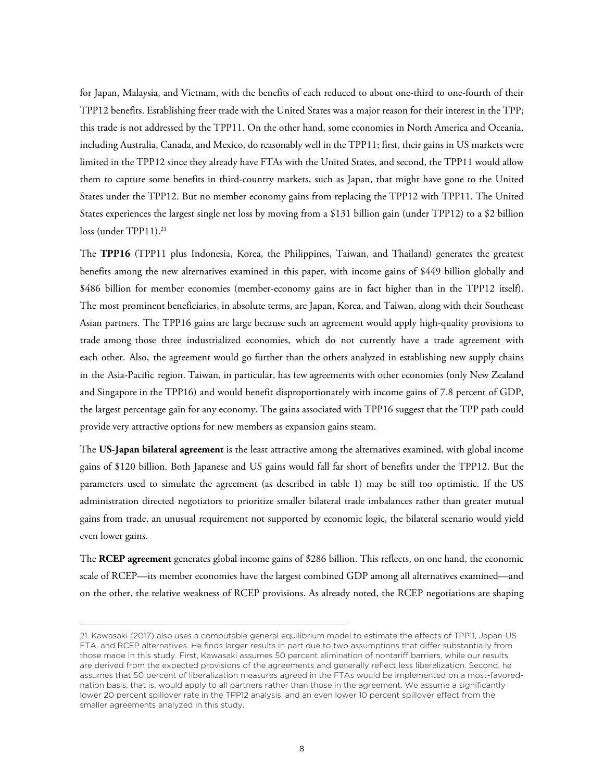for Japan, Malaysia, and Vietnam, with the benefits of each reduced to about one-third to one-fourth of their TPP12 benefits. Establishing freer trade with the United States was a major reason for their interest in the TPP; this trade is not addressed by the TPP11. On the other hand, some economies in North America and Oceania, including Australia, Canada, and Mexico, do reasonably well in the TPP11; first, their gains in US markets were limited in the TPP12 since they already have FTAs with the United States, and second, the TPP11 would allow them to capture some benefits in third-country markets, such as Japan, that might have gone to the United States under the TPP12. But no member economy gains from replacing the TPP12 with TPP11. The United States experiences the largest single net loss by moving from a \$131 billion gain (under TPP12) to a \$2 billion loss (under TPP11).<sup>21</sup>

The **TPP16** (TPP11 plus Indonesia, Korea, the Philippines, Taiwan, and Thailand) generates the greatest benefits among the new alternatives examined in this paper, with income gains of \$449 billion globally and \$486 billion for member economies (member-economy gains are in fact higher than in the TPP12 itself). The most prominent beneficiaries, in absolute terms, are Japan, Korea, and Taiwan, along with their Southeast Asian partners. The TPP16 gains are large because such an agreement would apply high-quality provisions to trade among those three industrialized economies, which do not currently have a trade agreement with each other. Also, the agreement would go further than the others analyzed in establishing new supply chains in the Asia-Pacific region. Taiwan, in particular, has few agreements with other economies (only New Zealand and Singapore in the TPP16) and would benefit disproportionately with income gains of 7.8 percent of GDP, the largest percentage gain for any economy. The gains associated with TPP16 suggest that the TPP path could provide very attractive options for new members as expansion gains steam.

The **US-Japan bilateral agreement** is the least attractive among the alternatives examined, with global income gains of \$120 billion. Both Japanese and US gains would fall far short of benefits under the TPP12. But the parameters used to simulate the agreement (as described in table 1) may be still too optimistic. If the US administration directed negotiators to prioritize smaller bilateral trade imbalances rather than greater mutual gains from trade, an unusual requirement not supported by economic logic, the bilateral scenario would yield even lower gains.

The **RCEP agreement** generates global income gains of \$286 billion. This reflects, on one hand, the economic scale of RCEP—its member economies have the largest combined GDP among all alternatives examined—and on the other, the relative weakness of RCEP provisions. As already noted, the RCEP negotiations are shaping

<sup>21.</sup> Kawasaki (2017) also uses a computable general equilibrium model to estimate the effects of TPP11, Japan-US FTA, and RCEP alternatives. He finds larger results in part due to two assumptions that differ substantially from those made in this study. First, Kawasaki assumes 50 percent elimination of nontariff barriers, while our results are derived from the expected provisions of the agreements and generally reflect less liberalization. Second, he assumes that 50 percent of liberalization measures agreed in the FTAs would be implemented on a most-favorednation basis, that is, would apply to all partners rather than those in the agreement. We assume a significantly lower 20 percent spillover rate in the TPP12 analysis, and an even lower 10 percent spillover effect from the smaller agreements analyzed in this study.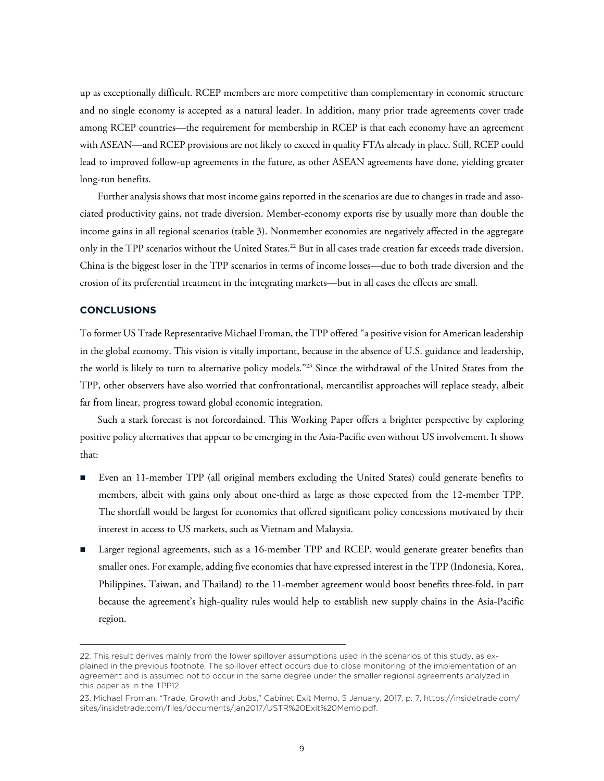up as exceptionally difficult. RCEP members are more competitive than complementary in economic structure and no single economy is accepted as a natural leader. In addition, many prior trade agreements cover trade among RCEP countries—the requirement for membership in RCEP is that each economy have an agreement with ASEAN—and RCEP provisions are not likely to exceed in quality FTAs already in place. Still, RCEP could lead to improved follow-up agreements in the future, as other ASEAN agreements have done, yielding greater long-run benefits.

Further analysis shows that most income gains reported in the scenarios are due to changes in trade and associated productivity gains, not trade diversion. Member-economy exports rise by usually more than double the income gains in all regional scenarios (table 3). Nonmember economies are negatively affected in the aggregate only in the TPP scenarios without the United States.<sup>22</sup> But in all cases trade creation far exceeds trade diversion. China is the biggest loser in the TPP scenarios in terms of income losses—due to both trade diversion and the erosion of its preferential treatment in the integrating markets—but in all cases the effects are small.

#### **CONCLUSIONS**

To former US Trade Representative Michael Froman, the TPP offered "a positive vision for American leadership in the global economy. This vision is vitally important, because in the absence of U.S. guidance and leadership, the world is likely to turn to alternative policy models."<sup>23</sup> Since the withdrawal of the United States from the TPP, other observers have also worried that confrontational, mercantilist approaches will replace steady, albeit far from linear, progress toward global economic integration.

Such a stark forecast is not foreordained. This Working Paper offers a brighter perspective by exploring positive policy alternatives that appear to be emerging in the Asia-Pacific even without US involvement. It shows that:

- n Even an 11-member TPP (all original members excluding the United States) could generate benefits to members, albeit with gains only about one-third as large as those expected from the 12-member TPP. The shortfall would be largest for economies that offered significant policy concessions motivated by their interest in access to US markets, such as Vietnam and Malaysia.
- Larger regional agreements, such as a 16-member TPP and RCEP, would generate greater benefits than smaller ones. For example, adding five economies that have expressed interest in the TPP (Indonesia, Korea, Philippines, Taiwan, and Thailand) to the 11-member agreement would boost benefits three-fold, in part because the agreement's high-quality rules would help to establish new supply chains in the Asia-Pacific region.

<sup>22.</sup> This result derives mainly from the lower spillover assumptions used in the scenarios of this study, as explained in the previous footnote. The spillover effect occurs due to close monitoring of the implementation of an agreement and is assumed not to occur in the same degree under the smaller regional agreements analyzed in this paper as in the TPP12.

[<sup>23.</sup> Michael Froman, "Trade, Growth and Jobs," Cabinet Exit Memo, 5 January, 2017, p. 7, https://insidetrade.com/](https://insidetrade.com/sites/insidetrade.com/files/documents/jan2017/USTR%20Exit%20Memo.pdf) sites/insidetrade.com/files/documents/jan2017/USTR%20Exit%20Memo.pdf.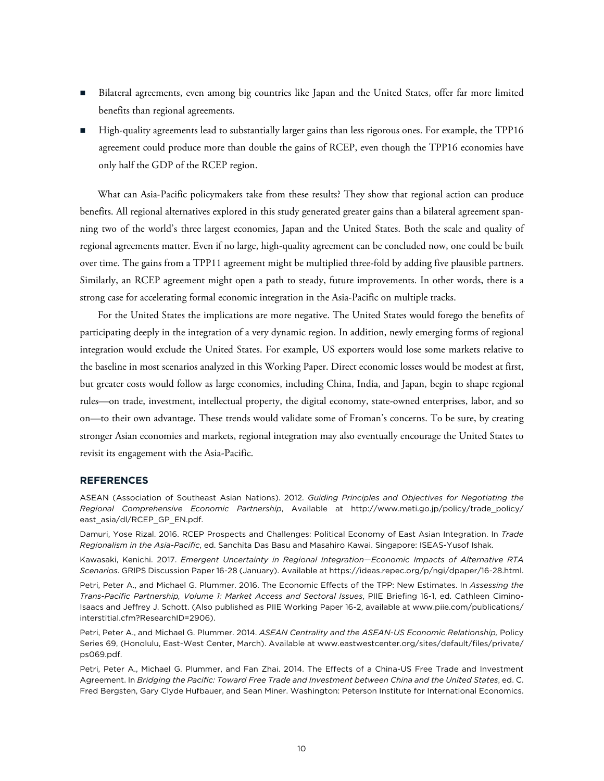- n Bilateral agreements, even among big countries like Japan and the United States, offer far more limited benefits than regional agreements.
- High-quality agreements lead to substantially larger gains than less rigorous ones. For example, the TPP16 agreement could produce more than double the gains of RCEP, even though the TPP16 economies have only half the GDP of the RCEP region.

What can Asia-Pacific policymakers take from these results? They show that regional action can produce benefits. All regional alternatives explored in this study generated greater gains than a bilateral agreement spanning two of the world's three largest economies, Japan and the United States. Both the scale and quality of regional agreements matter. Even if no large, high-quality agreement can be concluded now, one could be built over time. The gains from a TPP11 agreement might be multiplied three-fold by adding five plausible partners. Similarly, an RCEP agreement might open a path to steady, future improvements. In other words, there is a strong case for accelerating formal economic integration in the Asia-Pacific on multiple tracks.

For the United States the implications are more negative. The United States would forego the benefits of participating deeply in the integration of a very dynamic region. In addition, newly emerging forms of regional integration would exclude the United States. For example, US exporters would lose some markets relative to the baseline in most scenarios analyzed in this Working Paper. Direct economic losses would be modest at first, but greater costs would follow as large economies, including China, India, and Japan, begin to shape regional rules—on trade, investment, intellectual property, the digital economy, state-owned enterprises, labor, and so on—to their own advantage. These trends would validate some of Froman's concerns. To be sure, by creating stronger Asian economies and markets, regional integration may also eventually encourage the United States to revisit its engagement with the Asia-Pacific.

#### **REFERENCES**

ASEAN (Association of Southeast Asian Nations). 2012. *Guiding Principles and Objectives for Negotiating the Regional Comprehensive Economic Partnership*[, Available at http://www.meti.go.jp/policy/trade\\_policy/](http://www.meti.go.jp/policy/trade_policy/east_asia/dl/RCEP_GP_EN.pdf) east\_asia/dl/RCEP\_GP\_EN.pdf.

Damuri, Yose Rizal. 2016. RCEP Prospects and Challenges: Political Economy of East Asian Integration. In *Trade Regionalism in the Asia-Pacific*, ed. Sanchita Das Basu and Masahiro Kawai. Singapore: ISEAS-Yusof Ishak.

Kawasaki, Kenichi. 2017. *Emergent Uncertainty in Regional Integration—Economic Impacts of Alternative RTA Scenarios*. GRIPS Discussion Paper 16-28 (January). Available at https://ideas.repec.org/p/ngi/dpaper/16-28.html.

Petri, Peter A., and Michael G. Plummer. 2016. The Economic Effects of the TPP: New Estimates. In *Assessing the Trans-Pacific Partnership, Volume 1: Market Access and Sectoral Issues*, PIIE Briefing 16-1, ed. Cathleen Cimino-[Isaacs and Jeffrey J. Schott. \(Also published as PIIE Working Paper 16-2, available at www.piie.com/publications/](www.piie.com/publications/interstitial.cfm?ResearchID=2906) interstitial.cfm?ResearchID=2906).

Petri, Peter A., and Michael G. Plummer. 2014. *ASEAN Centrality and the ASEAN-US Economic Relationship,* Policy [Series 69, \(Honolulu, East-West Center, March\). Available at www.eastwestcenter.org/sites/default/files/private/](www.eastwestcenter.org/sites/default/files/private/ps069.pdf) ps069.pdf.

Petri, Peter A., Michael G. Plummer, and Fan Zhai. 2014. The Effects of a China-US Free Trade and Investment Agreement. In *[Bridging the Pacific: Toward Free Trade and Investment between China and the United States](https://piie.com/bookstore/bridging-pacific-toward-free-trade-and-investment-between-china-and-united-states)*, ed. C. Fred Bergsten, Gary Clyde Hufbauer, and Sean Miner. Washington: Peterson Institute for International Economics.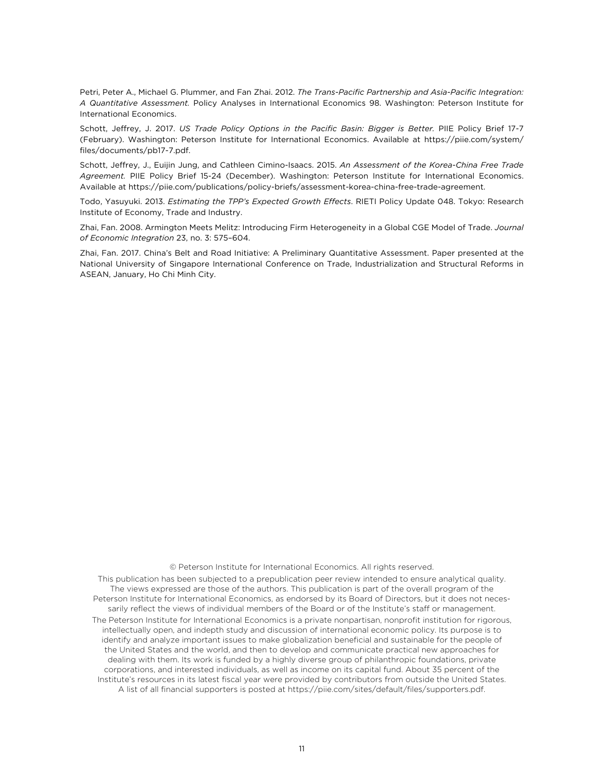Petri, Peter A., Michael G. Plummer, and Fan Zhai. 2012. *The Trans-Pacific Partnership and Asia-Pacific Integration: A Quantitative Assessment.* [Policy Analyses in International Economics 98.](https://piie.com/bookstore/trans-pacific-partnership-and-asia-pacific-integration-quantitative-assessment) Washington: Peterson Institute for International Economics.

Schott, Jeffrey, J. 2017. *US Trade Policy Options in the Pacific Basin: Bigger is Better.* PIIE Policy Brief 17-7 [\(February\). Washington: Peterson Institute for International Economics. Available at https://piie.com/system/](https://piie.com/system/files/documents/pb17-7.pdf) files/documents/pb17-7.pdf.

Schott, Jeffrey, J., Euijin Jung, and Cathleen Cimino-Isaacs. 2015. *An Assessment of the Korea-China Free Trade Agreement.* PIIE Policy Brief 15-24 (December). Washington: Peterson Institute for International Economics. Available at https://piie.com/publications/policy-briefs/assessment-korea-china-free-trade-agreement.

Todo, Yasuyuki. 2013. *Estimating the TPP's Expected Growth Effects*. RIETI Policy Update 048. Tokyo: Research Institute of Economy, Trade and Industry.

Zhai, Fan. 2008. Armington Meets Melitz: Introducing Firm Heterogeneity in a Global CGE Model of Trade. *Journal of Economic Integration* 23, no. 3: 575–604.

Zhai, Fan. 2017. China's Belt and Road Initiative: A Preliminary Quantitative Assessment. Paper presented at the National University of Singapore International Conference on Trade, Industrialization and Structural Reforms in ASEAN, January, Ho Chi Minh City.

© Peterson Institute for International Economics. All rights reserved.

This publication has been subjected to a prepublication peer review intended to ensure analytical quality. The views expressed are those of the authors. This publication is part of the overall program of the Peterson Institute for International Economics, as endorsed by its Board of Directors, but it does not necessarily reflect the views of individual members of the Board or of the Institute's staff or management.

The Peterson Institute for International Economics is a private nonpartisan, nonprofit institution for rigorous, intellectually open, and indepth study and discussion of international economic policy. Its purpose is to identify and analyze important issues to make globalization beneficial and sustainable for the people of the United States and the world, and then to develop and communicate practical new approaches for dealing with them. Its work is funded by a highly diverse group of philanthropic foundations, private corporations, and interested individuals, as well as income on its capital fund. About 35 percent of the Institute's resources in its latest fiscal year were provided by contributors from outside the United States. A list of all financial supporters is posted at https://piie.com/sites/default/files/supporters.pdf.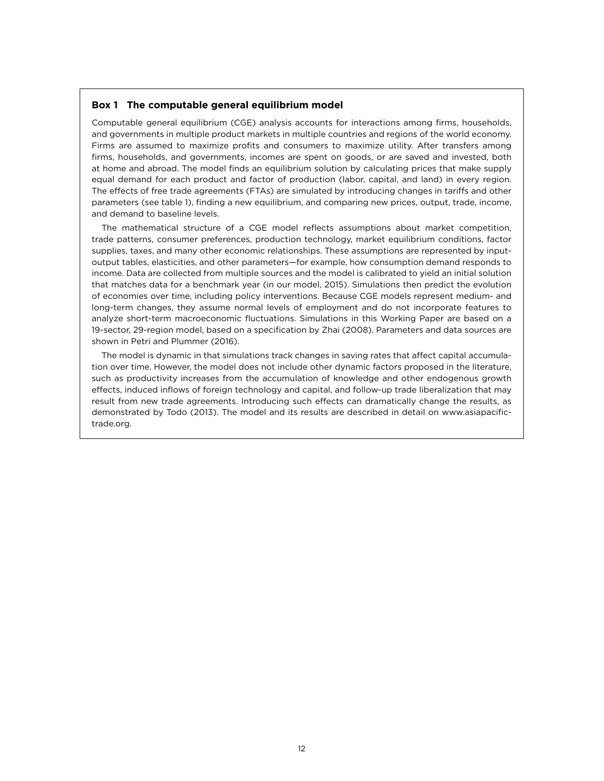#### **Box 1 The computable general equilibrium model**

Computable general equilibrium (CGE) analysis accounts for interactions among firms, households, and governments in multiple product markets in multiple countries and regions of the world economy. Firms are assumed to maximize profits and consumers to maximize utility. After transfers among firms, households, and governments, incomes are spent on goods, or are saved and invested, both at home and abroad. The model finds an equilibrium solution by calculating prices that make supply equal demand for each product and factor of production (labor, capital, and land) in every region. The effects of free trade agreements (FTAs) are simulated by introducing changes in tariffs and other parameters (see table 1), finding a new equilibrium, and comparing new prices, output, trade, income, and demand to baseline levels.

The mathematical structure of a CGE model reflects assumptions about market competition, trade patterns, consumer preferences, production technology, market equilibrium conditions, factor supplies, taxes, and many other economic relationships. These assumptions are represented by inputoutput tables, elasticities, and other parameters—for example, how consumption demand responds to income. Data are collected from multiple sources and the model is calibrated to yield an initial solution that matches data for a benchmark year (in our model, 2015). Simulations then predict the evolution of economies over time, including policy interventions. Because CGE models represent medium- and long-term changes, they assume normal levels of employment and do not incorporate features to analyze short-term macroeconomic fluctuations. Simulations in this Working Paper are based on a 19-sector, 29-region model, based on a specification by Zhai (2008). Parameters and data sources are shown in Petri and Plummer (2016).

The model is dynamic in that simulations track changes in saving rates that affect capital accumulation over time. However, the model does not include other dynamic factors proposed in the literature, such as productivity increases from the accumulation of knowledge and other endogenous growth effects, induced inflows of foreign technology and capital, and follow-up trade liberalization that may result from new trade agreements. Introducing such effects can dramatically change the results, as demonstrated by Todo (2013). The model and its results are described in detail on www.asiapacifictrade.org.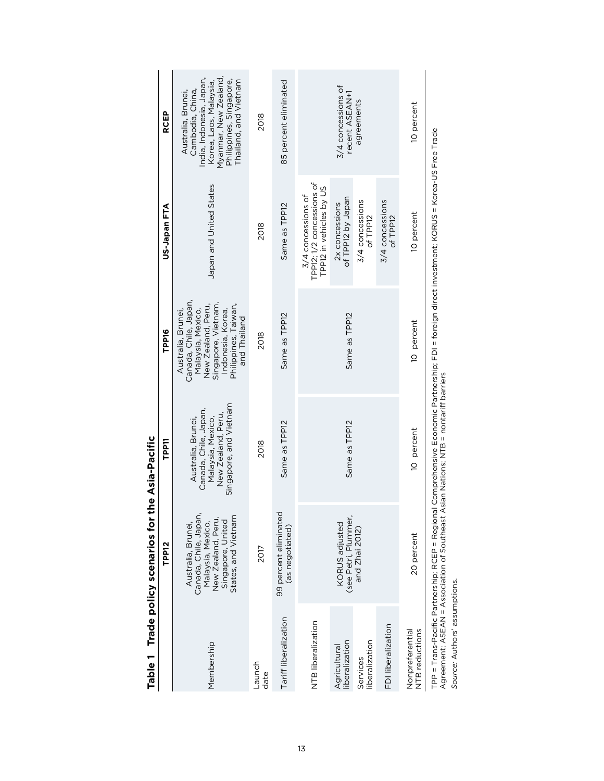|                                   | TPP <sub>12</sub>                                                                                                                  | TPP11                                                                                                            | TPP16                                                                                                                                                                      | US-Japan FTA                                                                                     | <b>RCEP</b>                                                                                                                                                               |
|-----------------------------------|------------------------------------------------------------------------------------------------------------------------------------|------------------------------------------------------------------------------------------------------------------|----------------------------------------------------------------------------------------------------------------------------------------------------------------------------|--------------------------------------------------------------------------------------------------|---------------------------------------------------------------------------------------------------------------------------------------------------------------------------|
| Membership                        | Canada, Chile, Japan,<br>States, and Vietnam<br>New Zealand, Peru,<br>Australia, Brunei,<br>Singapore, United<br>Malaysia, Mexico, | Singapore, and Vietnam<br>Canada, Chile, Japan,<br>New Zealand, Peru,<br>Malaysia, Mexico,<br>Australia, Brunei, | Canada, Chile, Japan,<br>Singapore, Vietnam,<br>Philippines, Taiwan,<br>New Zealand, Peru,<br>Australia, Brunei,<br>Malaysia, Mexico,<br>Indonesia, Korea,<br>and Thailand | Japan and United States                                                                          | Myanmar, New Zealand,<br>India, Indonesia, Japan,<br>Philippines, Singapore,<br>Korea, Laos, Malaysia,<br>Thailand, and Vietnam<br>Cambodia, China,<br>Australia, Brunei, |
| -aunch<br>date                    | 2017                                                                                                                               | <b>2018</b>                                                                                                      | 2018                                                                                                                                                                       | 2018                                                                                             | 2018                                                                                                                                                                      |
| Tariff liberalization             | 99 percent eliminated<br>(as negotiated)                                                                                           | Same as TPP12                                                                                                    | Same as TPP12                                                                                                                                                              | Same as TPP12                                                                                    | 85 percent eliminated                                                                                                                                                     |
| NTB liberalization                |                                                                                                                                    |                                                                                                                  |                                                                                                                                                                            | TPP12; 1/2 concessions of<br>TPP12 in vehicles by US<br>3/4 concessions of                       |                                                                                                                                                                           |
| iberalization<br>Agricultural     | (see Petri, Plummer,<br>KORUS adjusted                                                                                             | Same as TPP12                                                                                                    | Same as TPP12                                                                                                                                                              | of TPP12 by Japan<br>2x concessions                                                              | 3/4 concessions of<br>recent ASEAN+1                                                                                                                                      |
| liberalization<br>Services        | and Zhai 2012)                                                                                                                     |                                                                                                                  |                                                                                                                                                                            | 3/4 concessions<br>of TPP12                                                                      | agreements                                                                                                                                                                |
| FDI liberalization                |                                                                                                                                    |                                                                                                                  |                                                                                                                                                                            | 3/4 concessions<br>of TPP12                                                                      |                                                                                                                                                                           |
| NTB reductions<br>Nonpreferential | 20 percent                                                                                                                         | 10 percent                                                                                                       | 10 percent                                                                                                                                                                 | 10 percent                                                                                       | 10 percent                                                                                                                                                                |
| Source: Authors' assumptions.     | TPP = Trans-Pacific Partnership; RCEP = Regional                                                                                   | Agreement; ASEAN = Association of Southeast Asian Nations; NTB = nontariff barriers                              |                                                                                                                                                                            | Comprehensive Economic Partnership; FDI = foreign direct investment; KORUS = Korea-US Free Trade |                                                                                                                                                                           |

Table 1 Trade policy scenarios for the Asia-Pacific **Table 1 Trade policy scenarios for the Asia-Pacific**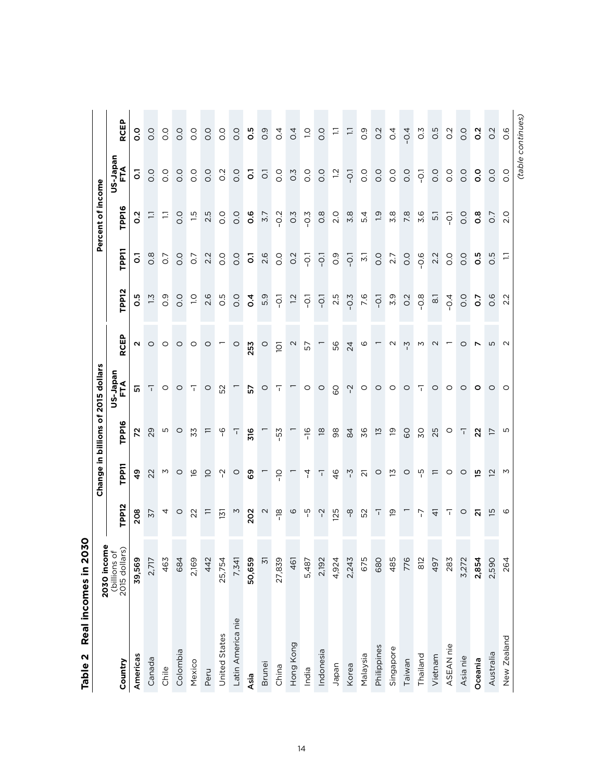|                   |                                                     |                         |                          |                   | Change in billions of 2015 dollars |                   |                    |                           | Percent of income |                           |                   |
|-------------------|-----------------------------------------------------|-------------------------|--------------------------|-------------------|------------------------------------|-------------------|--------------------|---------------------------|-------------------|---------------------------|-------------------|
| Country           | <b>2030 income</b><br>(billions of<br>2015 dollars) | TPP12                   | <b>TPP11</b>             | TPP <sub>16</sub> | US-Japan<br>FTA                    | <b>RCEP</b>       | <b>TPP12</b>       | TPP11                     | TPP <sub>16</sub> | US-Japan<br><b>FTA</b>    | <b>RCEP</b>       |
| Americas          | 39,569                                              | 208                     | 49                       | 22                | <u>r</u>                           | $\mathbf{\Omega}$ | 0.5                | $\overline{\circ}$        | $\overline{0}$ .2 | $\overline{\overline{C}}$ | o.o               |
| Canada            | 2,717                                               | 57                      | 22                       | 29                | $\overline{1}$                     | $\circ$           | 1.3                | $0.\overline{8}$          | Ξ                 | $\overline{O}$            | $\frac{0}{0}$     |
| Chile             | 463                                                 | 4                       | Z.                       | ഗ                 | $\circ$                            | $\circ$           | 0.9                | 0.7                       | Ξ                 | O.0                       | O.0               |
| Colombia          | 684                                                 | $\circ$                 | $\circ$                  | $\circ$           | $\circ$                            | $\circ$           | O.0                | O.0                       | O.0               | O.0                       | 0.0               |
| Mexico            | 2,169                                               | 22                      | $\overline{6}$           | 53                | $\overline{1}$                     | $\circ$           | $\overline{0}$     | 0.7                       | ٢ņ                | O.0                       | O.0               |
| Peru              | 442                                                 | $\equiv$                | $\overline{C}$           | $\equiv$          | $\circ$                            | $\circ$           | 2.6                | 2.2                       | 2.5               | O.0                       | O.0               |
| United States     | 25,754                                              | 151                     | $\sim$                   | $\frac{6}{1}$     | 52                                 |                   | 0.5                | O.0                       | O.0               | 0.2                       | O.O               |
| Latin America nie | 7,341                                               | M                       | $\circ$                  | $\overline{1}$    | Γ                                  | $\circ$           | O.0                | O.0                       | O.0               | O.0                       | O.0               |
| Asia              | 50,659                                              | 202                     | 69                       | 316               | 57                                 | 253               | $\overline{0}$     | $\overline{\overline{C}}$ | 0.6               | $\overline{c}$            | 0.5               |
| <b>Brunei</b>     | $\overline{5}$                                      | $\mathbf{\Omega}$       |                          |                   | $\circ$                            | $\circ$           | 5.9                | 2.6                       | 3.7               | $\overline{\circ}$        | 0.9               |
| China             | 27,839                                              | $\frac{8}{1}$           | $\frac{1}{1}$            | -53               | $\top$                             | $\overline{O}$    | $-0.1$             | O.O                       | $-0.2$            | O.O                       | 0.4               |
| Hong Kong         | 461                                                 | $\circ$                 | $\overline{ }$           |                   | $\overline{ }$                     | $\mathbf 2$       | 1.2                | 0.2                       | $\overline{0}$ .3 | $0.\overline{5}$          | $\overline{0}$    |
| India             | 5,487                                               | ပှု                     | 4                        | $-16$             | $\circ$                            | 57                | $-0.1$             | $-0.1$                    | $-0.3$            | O.0                       | $\overline{0}$    |
| Indonesia         | 2,192                                               | $\sim$                  | T                        | $\overline{8}$    | $\circ$                            |                   | $-0.1$             | $-0.1$                    | $\frac{8}{2}$     | O.0                       | O.0               |
| Japan             | 4,924                                               | 125                     | 46                       | $_{\rm 98}$       | <b>CO</b>                          | 56                | 2.5                | 0.9                       | 2.0               | $\Xi$                     | Ξ                 |
| Korea             | 2,243                                               | $\int_{1}^{\infty}$     | $\zeta$ -                | $\overline{8}$    | $\sim$                             | 24                | $-0.3$             | $-0.1$                    | 3.8               | $-5$                      | Ξ                 |
| Malaysia          | 675                                                 | 52                      | $\overline{\mathcal{L}}$ | 36                | $\circ$                            | ဖ                 | 7.6                | $\overline{51}$           | 5.4               | O.0                       | 0.9               |
| Philippines       | 680                                                 | $\overline{\mathbf{r}}$ | $\circ$                  | $\overline{21}$   | $\circ$                            |                   | $-0.1$             | O.                        | $\overline{0}$    | O.0                       | 0.2               |
| Singapore         | 485                                                 | $\overline{6}$          | 12                       | $\overline{6}$    | $\circ$                            | $\sim$            | 3.9                | 2.7                       | 3.8               | $\overline{O}$ .          | $\overline{0}$    |
| Taiwan            | 776                                                 | $\overline{ }$          | $\circ$                  | <b>GO</b>         | $\circ$                            | $\tilde{5}$       | 0.2                | O.0                       | 7.8               | O.0                       | $-0.4$            |
| Thailand          | 812                                                 | $\overline{1}$          | ပှ                       | 30                | $\overline{1}$                     | Z                 | $-0.8$             | $-0.6$                    | 3.6               | $\overline{Q}$            | $0.\overline{3}$  |
| Vietnam           | 497                                                 | $\frac{4}{5}$           | $\equiv$                 | 25                | $\circ$                            | $\mathbf 2$       | $\overline{\circ}$ | 2.2                       | $\overline{51}$   | O.0                       | 0.5               |
| ASEAN nie         | 283                                                 | $\top$                  | O                        | $\circ$           | $\circ$                            |                   | $-0.4$             | O.0                       | $\overline{Q}$    | O.0                       | 0.2               |
| Asia nie          | 3,272                                               | $\circ$                 | $\circ$                  | $\top$            | $\circ$                            | $\circ$           | O.0                | O.0                       | O.0               | 0.0                       | $\overline{O}$    |
| Oceania           | 2,854                                               | ភ                       | ۲ņ                       | $\overline{2}$    | o                                  | r                 | C.O                | 0.5                       | $\frac{8}{2}$     | o.o                       | $0.\overline{2}$  |
| Australia         | 2,590                                               | ίņ                      | $\overline{C}$           | $\overline{1}$    | $\circ$                            | LO                | 0.6                | 0.5                       | 0.7               | 0.0                       | 0.2               |
| New Zealand       | 264                                                 | $\circ$                 | М                        | rU                | $\circ$                            | $\mathbf{\Omega}$ | 2.2                | Ξ                         | 2.0               | O.O                       | $0.\overline{6}$  |
|                   |                                                     |                         |                          |                   |                                    |                   |                    |                           |                   |                           | (table continues) |

## Table 2 Real incomes in 2030 **Table 2 Real incomes in 2030**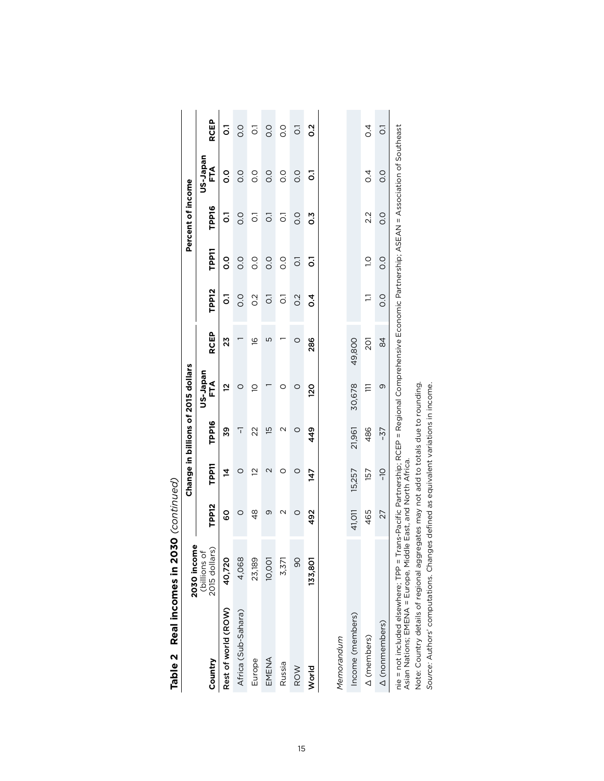|                     |                               | ,             |                |                                    |                |                |                    |                |                    |                |                    |
|---------------------|-------------------------------|---------------|----------------|------------------------------------|----------------|----------------|--------------------|----------------|--------------------|----------------|--------------------|
|                     | 2030 income                   |               |                | Change in billions of 2015 dollars |                |                |                    |                | Percent of income  |                |                    |
|                     | (billions of<br>2015 dollars) |               | <b>TPP11</b>   | TPP <sub>16</sub>                  | US-Japan       | <b>RCEP</b>    | <b>TPP12</b>       | <b>TPP11</b>   |                    | US-Japan       | <b>RCEP</b>        |
| Country             |                               | <b>TPP12</b>  |                |                                    | <b>FTA</b>     |                |                    |                | TPP <sub>16</sub>  | <b>FTA</b>     |                    |
| Rest of world (ROW) | 40,720                        | င္ပ           | $\overline{4}$ | 39                                 | 21             | 23             | ā                  | ွ              | ā                  | o.o            | ā                  |
| Africa (Sub-Sahara) | 4,068                         |               |                | T                                  |                |                | $\frac{0}{0}$      | $\frac{0}{0}$  | $\frac{0}{0}$      | $\frac{0}{0}$  | 0.0                |
| Europe              | 23,189                        | $\frac{8}{4}$ | 2              | 22                                 | $\overline{a}$ | $\overline{6}$ | $\overline{O}$ .   | O.O            | $\overline{\circ}$ | $\overline{O}$ | $\overline{\circ}$ |
| EMENA               | 10,001                        | თ             | 2              | 10                                 |                | ഗ              | $\overline{\circ}$ | $\frac{0}{0}$  | $\overline{\circ}$ | $\frac{0}{0}$  | $\frac{0}{0}$      |
| Russia              | 3,371                         | ∾             |                | ∾                                  | 0              |                | $\overline{c}$     | O.O            | $\overline{\circ}$ | O.O            | o.o                |
| <b>ROW</b>          | 90                            |               |                | $\circ$                            | $\circ$        |                | $\overline{0}$ :2  | $\overline{O}$ | O.O                | $\frac{0}{0}$  | $\overline{\circ}$ |
| World               | 133,801                       | 492           | 147            | 449                                | 20             | 286            | Δ.                 | ြ              | С.                 | ြ              | $\frac{2}{3}$      |
|                     |                               |               |                |                                    |                |                |                    |                |                    |                |                    |

# Table 2 Real incomes in 2030 (continued) **Table 2 Real incomes in 2030** *(continued)*

### Memorandum *Memorandum*

| ncome (members, | 41, O11 | 15,257        | 21,961 | 30,678   | 49,800         |         |               |     |                |                  |
|-----------------|---------|---------------|--------|----------|----------------|---------|---------------|-----|----------------|------------------|
| members         | 465     | 157           | 486    | $\equiv$ | $\overline{5}$ | Ξ       | $\frac{1}{2}$ | 2.2 | $\overline{0}$ | $\overline{6}$   |
| (nonmembers)    | 27      | $\frac{1}{1}$ | $-57$  | $\circ$  | 84             | o.<br>O | o.<br>O       | 0.0 | $\overline{O}$ | $\overline{0}$ . |

nie = not included elsewhere; TPP = Trans-Pacific Partnership; RCEP = Regional Comprehensive Economic Partnership; ASEAN = Association of Southeast<br>Asian Nations; EMENA = Europe, Middle East, and North Africa. nie = not included elsewhere; TPP = Trans-Pacific Partnership; RCEP = Regional Comprehensive Economic Partnership; ASEAN = Association of Southeast Asian Nations; EMENA = Europe, Middle East, and North Africa.

Note: Country details of regional aggregates may not add to totals due to rounding. Note: Country details of regional aggregates may not add to totals due to rounding.

Source: Authors' computations. Changes defined as equivalent variations in income. *Source:* Authors' computations. Changes defined as equivalent variations in income.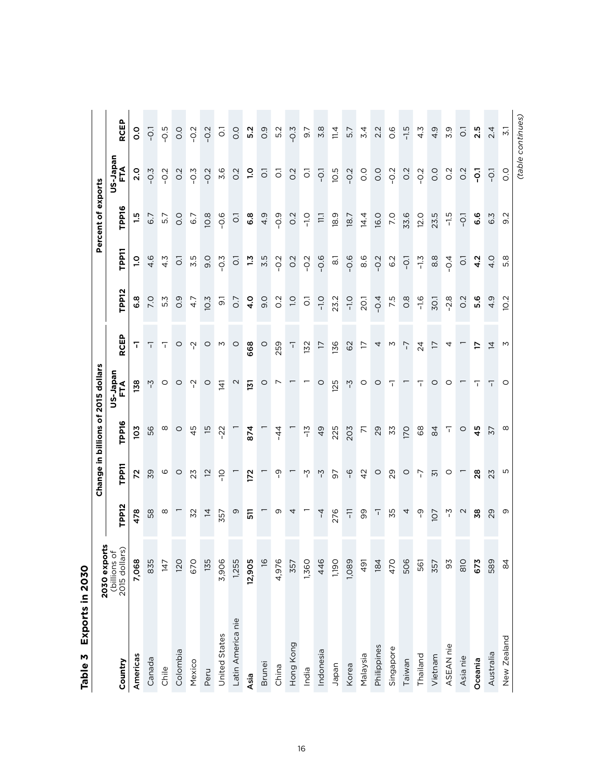|                   | n<br>2030 export              |                   |                |                         | Change in billions of 2015 dollars |                 |                         |                    | Percent of exports |                         |                         |
|-------------------|-------------------------------|-------------------|----------------|-------------------------|------------------------------------|-----------------|-------------------------|--------------------|--------------------|-------------------------|-------------------------|
| Country           | 2015 dollars)<br>(billions of | TPP <sub>12</sub> | TPP11          | TPP16                   | US-Japan<br>ΈÃ                     | <b>RCEP</b>     | TPP <sub>12</sub>       | <b>TPP11</b>       | TPP16              | US-Japan<br><b>FTA</b>  | <b>RCEP</b>             |
| Americas          | 7,068                         | 478               | 22             | 103                     | 138                                | 7               | <u>ဇီ</u>               | $\frac{0}{1}$      | 1.5                | 2.0                     | o.o                     |
| Canada            | 835                           | 58                | 39             | 56                      | $\zeta$ -                          | 7               | 7.0                     | 4.6                | 6.7                | $-0.5$                  | $\overline{Q}$          |
| Chile             | 147                           | ∞                 | ဖ              | $^\infty$               | $\circ$                            | ᠇               | 5.3                     | $4.\overline{5}$   | 5.7                | $-0.2$                  | $-0.5$                  |
| Colombia          | 120                           |                   | $\circ$        | $\circ$                 | $\circ$                            | 0               | $\frac{0}{0}$           | $\overline{\circ}$ | $\overline{O}$     | 0.2                     | $\frac{0}{0}$           |
| Mexico            | 670                           | 32                | 23             | 45                      | $\tilde{c}$                        | $\gamma$        | 4.7                     | 3.5                | 6.7                | $-0.3$                  | $-0.2$                  |
| Peru              | 135                           | $\overline{4}$    | $\overline{c}$ | Ξ                       | $\circ$                            | $\circ$         | 10.3                    | 9.0                | 10.8               | $-0.2$                  | $-0.2$                  |
| United States     | 3,906                         | 357               | $-10$          | $-22$                   | 互                                  | M               | $\overline{\circ}$      | $-0.5$             | $-0.6$             | 3.6                     | $\overline{\textbf{c}}$ |
| Latin America nie | 1,255                         | თ                 |                |                         | $\mathbf 2$                        | $\circ$         | 0.7                     | $\overline{O}$     | $\overline{O}$     | 0.2                     | O.0                     |
| Asia              | 12,905                        | 511               | 172            | 874                     | $\overline{151}$                   | 668             | $\frac{4}{1}$           | $\ddot{5}$         | 6.8                | $\overline{0}$          | 5.2                     |
| <b>Brunei</b>     | $\frac{1}{6}$                 | Γ                 | Γ              |                         | $\circ$                            | $\circ$         | 9.0                     | 3.5                | 4.9                | $\overline{O}$          | 0.9                     |
| China             | 4,976                         | თ                 | ႁ              | $-44$                   | ↖                                  | 259             | 0.2                     | $-0.2$             | $-0.9$             | $\overline{\textbf{c}}$ | 5.2                     |
| Hong Kong         | 357                           | 4                 | Γ              | Γ                       |                                    | $\overline{1}$  | $\overline{C}$          | 0.2                | 0.2                | 0.2                     | $\overline{0}$ .        |
| India             | 1,360                         |                   | $\zeta$        | $-13$                   |                                    | 132             | $\overline{\textbf{c}}$ | $-0.2$             | $-1.0$             | $\overline{\circ}$      | 9.7                     |
| Indonesia         | 446                           | $\overline{4}$    | $\zeta$ -      | $\frac{6}{7}$           | $\circ$                            | $\overline{1}$  | $-1.0$                  | $-0.6$             | $\Xi$              | $-5$                    | 3.8                     |
| Japan             | 1,190                         | 276               | 50             | 225                     | 125                                | 136             | 23.2                    | $\overline{\circ}$ | 18.9               | 10.5                    | 11.4                    |
| Korea             | 1,089                         | 두                 | $\frac{6}{1}$  | 203                     | $\zeta$ -                          | 62              | $-1.0$                  | $-0.6$             | 18.7               | $-0.2$                  | 5.7                     |
| Malaysia          | 491                           | 99                | 42             | $\overline{r}$          | $\circ$                            | $\overline{1}$  | 20.1                    | 8.6                | 14.4               | O.0                     | 3.4                     |
| Philippines       | 184                           | $\overline{1}$    | $\circ$        | 29                      | $\circ$                            | 4               | $-0.4$                  | $-0.2$             | 16.0               | O.0                     | 2.2                     |
| Singapore         | 470                           | 55                | 29             | 53                      | ᠇                                  | Z,              | 7.5                     | 6.2                | 7.0                | $-0.2$                  | 0.6                     |
| Taiwan            | 506                           | 4                 | $\circ$        | 170                     | $\overline{\phantom{0}}$           | 7               | $\frac{8}{2}$           | $-0.1$             | 33.6               | 0.2                     | $-1.5$                  |
| Thailand          | 561                           | ႁ                 | 7              | $\rm ^{83}$             | π                                  | $\overline{24}$ | $-1.6$                  | $-1.3$             | 12.0               | $-0.2$                  | 4.3                     |
| Vietnam           | 357                           | 107               | 51             | $\frac{8}{4}$           | $\circ$                            | $\overline{1}$  | 30.1                    | $_{\rm 8.8}$       | 23.5               | $\frac{0}{0}$           | 4.9                     |
| ASEAN nie         | 93                            | $\zeta$ -         | $\circ$        | $\overline{\mathbf{r}}$ | $\circ$                            | 4               | $-2.8$                  | $-0.4$             | $-1.5$             | 0.2                     | 3.9                     |
| Asia nie          | 810                           | $\mathbf 2$       | $\overline{ }$ | $\circ$                 |                                    |                 | 0.2                     | $\overline{O}$     | $\overline{Q}$     | 0.2                     | $\overline{O}$          |
| Oceania           | 673                           | 38                | $28$           | 45                      | $\overline{1}$                     | 17              | 5.6                     | 4.2                | 6.6                | Ģ                       | 2.5                     |
| Australia         | 589                           | 29                | 23             | 57                      | ᅮ                                  | $\overline{4}$  | 4.9                     | 4.0                | 6.3                | $-0$                    | 2.4                     |
| New Zealand       | $\frac{8}{4}$                 | თ                 | LO             | $\infty$                | $\circ$                            | M               | 10.2                    | 5.8                | 9.2                | $\overline{O}$          | $\overline{5}$          |
|                   |                               |                   |                |                         |                                    |                 |                         |                    |                    |                         | (table continues)       |

| ľ<br>Ì |
|--------|
| Ñ      |
| t      |
| t      |
| c      |
| i      |
|        |
| I      |
| 5      |
|        |
| ľ<br>נ |
|        |
|        |
| í      |
|        |